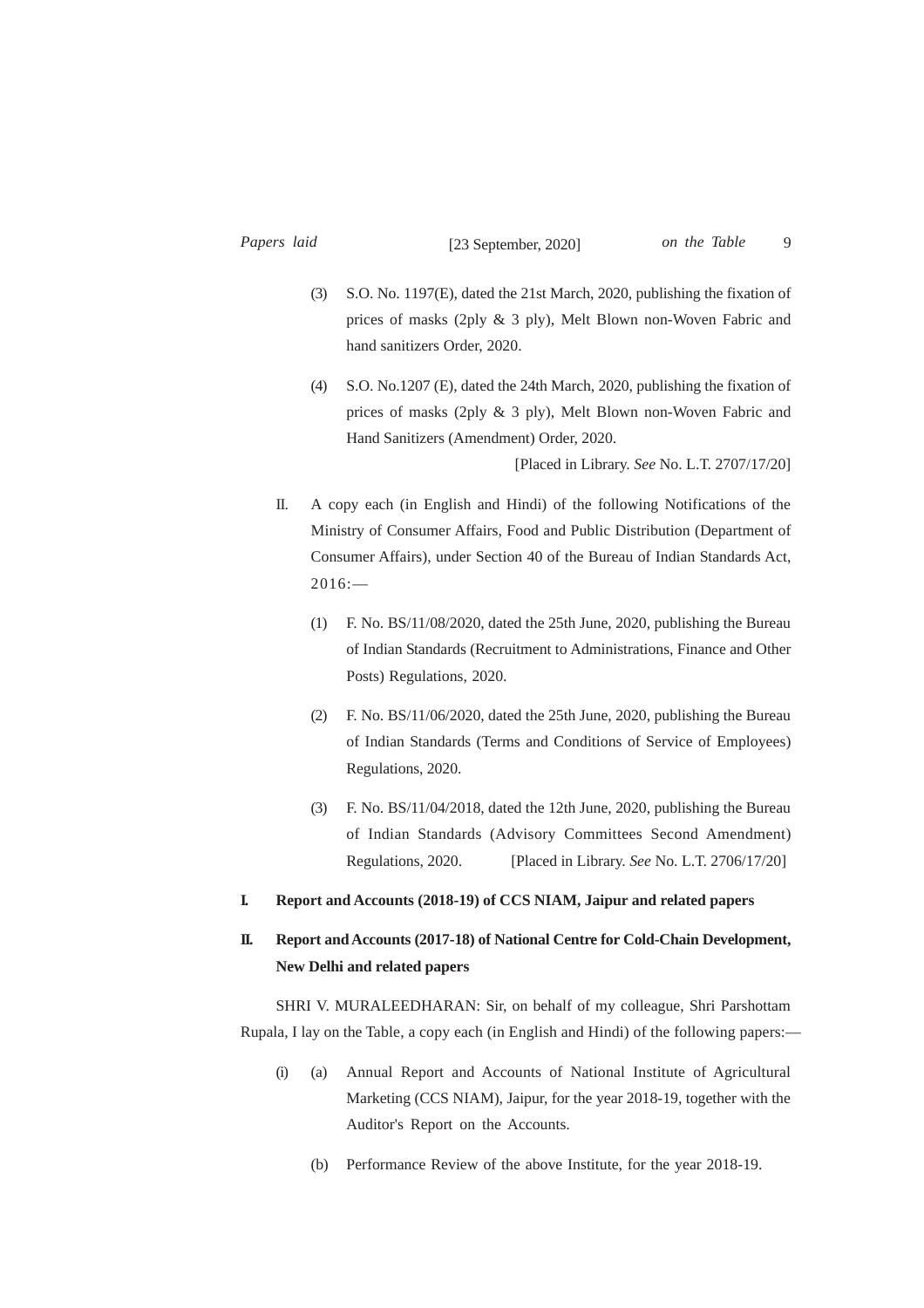- (3) S.O. No. 1197(E), dated the 21st March, 2020, publishing the fixation of prices of masks (2ply & 3 ply), Melt Blown non-Woven Fabric and hand sanitizers Order, 2020.
- (4) S.O. No.1207 (E), dated the 24th March, 2020, publishing the fixation of prices of masks (2ply & 3 ply), Melt Blown non-Woven Fabric and Hand Sanitizers (Amendment) Order, 2020.

[Placed in Library. *See* No. L.T. 2707/17/20]

- II. A copy each (in English and Hindi) of the following Notifications of the Ministry of Consumer Affairs, Food and Public Distribution (Department of Consumer Affairs), under Section 40 of the Bureau of Indian Standards Act,  $2016:$ 
	- (1) F. No. BS/11/08/2020, dated the 25th June, 2020, publishing the Bureau of Indian Standards (Recruitment to Administrations, Finance and Other Posts) Regulations, 2020.
	- (2) F. No. BS/11/06/2020, dated the 25th June, 2020, publishing the Bureau of Indian Standards (Terms and Conditions of Service of Employees) Regulations, 2020.
	- (3) F. No. BS/11/04/2018, dated the 12th June, 2020, publishing the Bureau of Indian Standards (Advisory Committees Second Amendment) Regulations, 2020. [Placed in Library. *See* No. L.T. 2706/17/20]
- **I. Report and Accounts (2018-19) of CCS NIAM, Jaipur and related papers**

## **II. Report and Accounts (2017-18) of National Centre for Cold-Chain Development, New Delhi and related papers**

SHRI V. MURALEEDHARAN: Sir, on behalf of my colleague, Shri Parshottam Rupala, I lay on the Table, a copy each (in English and Hindi) of the following papers:—

- (i) (a) Annual Report and Accounts of National Institute of Agricultural Marketing (CCS NIAM), Jaipur, for the year 2018-19, together with the Auditor's Report on the Accounts.
	- (b) Performance Review of the above Institute, for the year 2018-19.